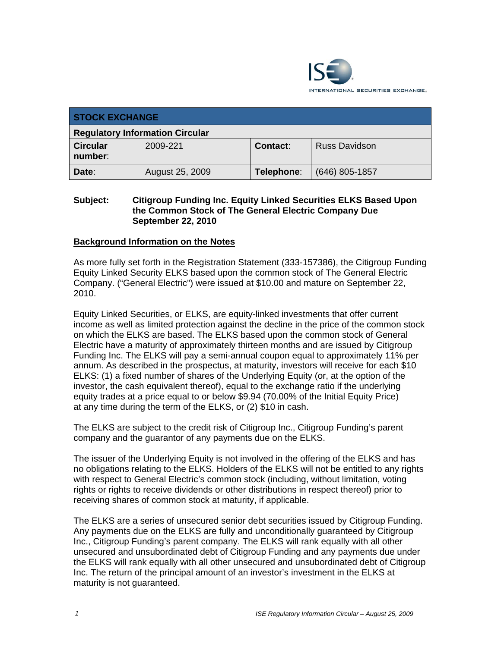

| <b>STOCK EXCHANGE</b>                  |                 |            |                      |  |  |
|----------------------------------------|-----------------|------------|----------------------|--|--|
| <b>Regulatory Information Circular</b> |                 |            |                      |  |  |
| <b>Circular</b><br>number:             | 2009-221        | Contact:   | <b>Russ Davidson</b> |  |  |
| Date:                                  | August 25, 2009 | Telephone: | $(646)$ 805-1857     |  |  |

## **Subject: Citigroup Funding Inc. Equity Linked Securities ELKS Based Upon the Common Stock of The General Electric Company Due September 22, 2010**

### **Background Information on the Notes**

As more fully set forth in the Registration Statement (333-157386), the Citigroup Funding Equity Linked Security ELKS based upon the common stock of The General Electric Company. ("General Electric") were issued at \$10.00 and mature on September 22, 2010.

Equity Linked Securities, or ELKS, are equity-linked investments that offer current income as well as limited protection against the decline in the price of the common stock on which the ELKS are based. The ELKS based upon the common stock of General Electric have a maturity of approximately thirteen months and are issued by Citigroup Funding Inc. The ELKS will pay a semi-annual coupon equal to approximately 11% per annum. As described in the prospectus, at maturity, investors will receive for each \$10 ELKS: (1) a fixed number of shares of the Underlying Equity (or, at the option of the investor, the cash equivalent thereof), equal to the exchange ratio if the underlying equity trades at a price equal to or below \$9.94 (70.00% of the Initial Equity Price) at any time during the term of the ELKS, or (2) \$10 in cash.

The ELKS are subject to the credit risk of Citigroup Inc., Citigroup Funding's parent company and the guarantor of any payments due on the ELKS.

The issuer of the Underlying Equity is not involved in the offering of the ELKS and has no obligations relating to the ELKS. Holders of the ELKS will not be entitled to any rights with respect to General Electric's common stock (including, without limitation, voting rights or rights to receive dividends or other distributions in respect thereof) prior to receiving shares of common stock at maturity, if applicable.

The ELKS are a series of unsecured senior debt securities issued by Citigroup Funding. Any payments due on the ELKS are fully and unconditionally guaranteed by Citigroup Inc., Citigroup Funding's parent company. The ELKS will rank equally with all other unsecured and unsubordinated debt of Citigroup Funding and any payments due under the ELKS will rank equally with all other unsecured and unsubordinated debt of Citigroup Inc. The return of the principal amount of an investor's investment in the ELKS at maturity is not guaranteed.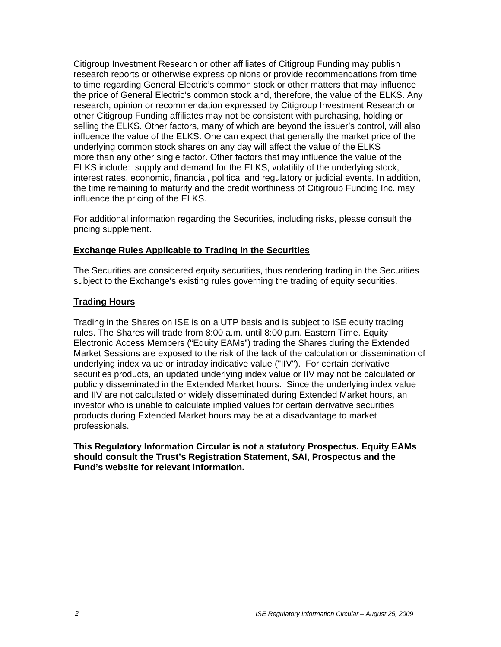Citigroup Investment Research or other affiliates of Citigroup Funding may publish research reports or otherwise express opinions or provide recommendations from time to time regarding General Electric's common stock or other matters that may influence the price of General Electric's common stock and, therefore, the value of the ELKS. Any research, opinion or recommendation expressed by Citigroup Investment Research or other Citigroup Funding affiliates may not be consistent with purchasing, holding or selling the ELKS. Other factors, many of which are beyond the issuer's control, will also influence the value of the ELKS. One can expect that generally the market price of the underlying common stock shares on any day will affect the value of the ELKS more than any other single factor. Other factors that may influence the value of the ELKS include: supply and demand for the ELKS, volatility of the underlying stock, interest rates, economic, financial, political and regulatory or judicial events. In addition, the time remaining to maturity and the credit worthiness of Citigroup Funding Inc. may influence the pricing of the ELKS.

For additional information regarding the Securities, including risks, please consult the pricing supplement.

### **Exchange Rules Applicable to Trading in the Securities**

The Securities are considered equity securities, thus rendering trading in the Securities subject to the Exchange's existing rules governing the trading of equity securities.

### **Trading Hours**

Trading in the Shares on ISE is on a UTP basis and is subject to ISE equity trading rules. The Shares will trade from 8:00 a.m. until 8:00 p.m. Eastern Time. Equity Electronic Access Members ("Equity EAMs") trading the Shares during the Extended Market Sessions are exposed to the risk of the lack of the calculation or dissemination of underlying index value or intraday indicative value ("IIV"). For certain derivative securities products, an updated underlying index value or IIV may not be calculated or publicly disseminated in the Extended Market hours. Since the underlying index value and IIV are not calculated or widely disseminated during Extended Market hours, an investor who is unable to calculate implied values for certain derivative securities products during Extended Market hours may be at a disadvantage to market professionals.

**This Regulatory Information Circular is not a statutory Prospectus. Equity EAMs should consult the Trust's Registration Statement, SAI, Prospectus and the Fund's website for relevant information.**